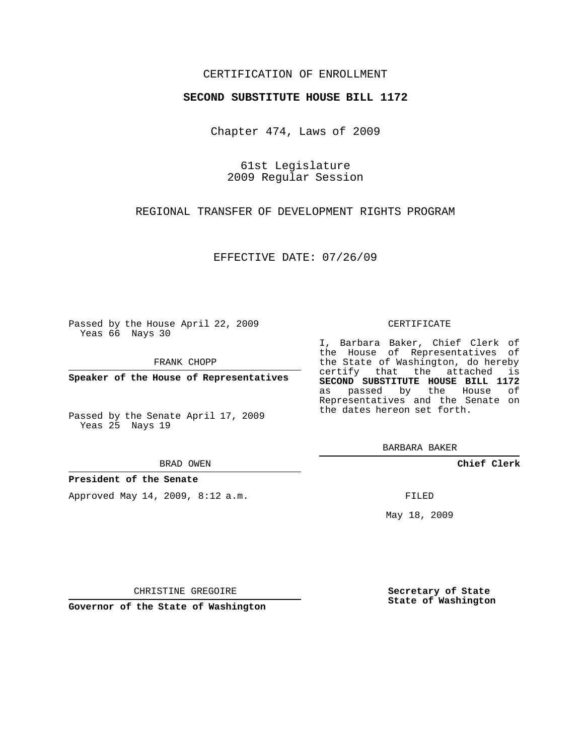### CERTIFICATION OF ENROLLMENT

#### **SECOND SUBSTITUTE HOUSE BILL 1172**

Chapter 474, Laws of 2009

61st Legislature 2009 Regular Session

REGIONAL TRANSFER OF DEVELOPMENT RIGHTS PROGRAM

EFFECTIVE DATE: 07/26/09

Passed by the House April 22, 2009 Yeas 66 Nays 30

FRANK CHOPP

**Speaker of the House of Representatives**

Passed by the Senate April 17, 2009 Yeas 25 Nays 19

#### BRAD OWEN

#### **President of the Senate**

Approved May 14, 2009, 8:12 a.m.

#### CERTIFICATE

I, Barbara Baker, Chief Clerk of the House of Representatives of the State of Washington, do hereby certify that the attached is **SECOND SUBSTITUTE HOUSE BILL 1172** as passed by the House of Representatives and the Senate on the dates hereon set forth.

BARBARA BAKER

**Chief Clerk**

FILED

May 18, 2009

**Secretary of State State of Washington**

CHRISTINE GREGOIRE

**Governor of the State of Washington**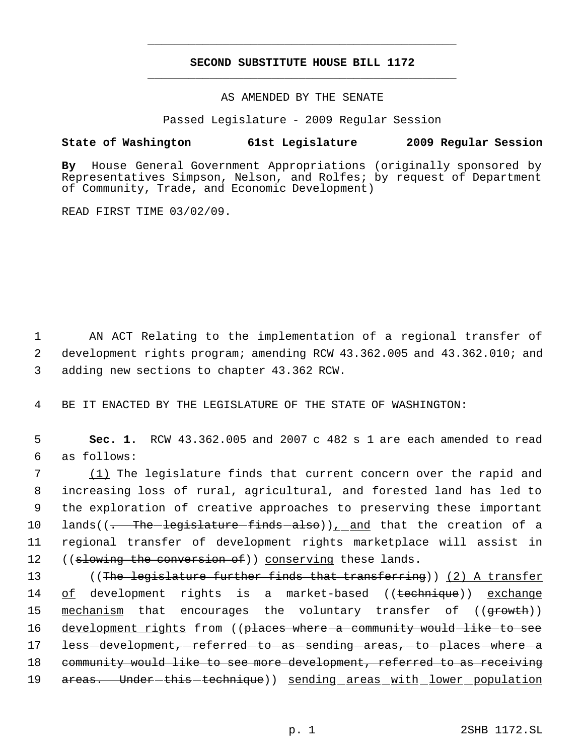# **SECOND SUBSTITUTE HOUSE BILL 1172** \_\_\_\_\_\_\_\_\_\_\_\_\_\_\_\_\_\_\_\_\_\_\_\_\_\_\_\_\_\_\_\_\_\_\_\_\_\_\_\_\_\_\_\_\_

\_\_\_\_\_\_\_\_\_\_\_\_\_\_\_\_\_\_\_\_\_\_\_\_\_\_\_\_\_\_\_\_\_\_\_\_\_\_\_\_\_\_\_\_\_

### AS AMENDED BY THE SENATE

Passed Legislature - 2009 Regular Session

## **State of Washington 61st Legislature 2009 Regular Session**

**By** House General Government Appropriations (originally sponsored by Representatives Simpson, Nelson, and Rolfes; by request of Department of Community, Trade, and Economic Development)

READ FIRST TIME 03/02/09.

 1 AN ACT Relating to the implementation of a regional transfer of 2 development rights program; amending RCW 43.362.005 and 43.362.010; and 3 adding new sections to chapter 43.362 RCW.

4 BE IT ENACTED BY THE LEGISLATURE OF THE STATE OF WASHINGTON:

 5 **Sec. 1.** RCW 43.362.005 and 2007 c 482 s 1 are each amended to read 6 as follows:

 (1) The legislature finds that current concern over the rapid and increasing loss of rural, agricultural, and forested land has led to the exploration of creative approaches to preserving these important 10 lands( $(-$ The-legislature-finds-also))<sub> $1$ </sub> and that the creation of a regional transfer of development rights marketplace will assist in 12 ((slowing the conversion of)) conserving these lands.

13 ((The legislature further finds that transferring)) (2) A transfer 14 of development rights is a market-based ((technique)) exchange 15 <u>mechanism</u> that encourages the voluntary transfer of ((<del>growth</del>)) 16 development rights from ((places where a community would like to see 17 less-development, referred-to-as-sending-areas, to places where a 18 community would like to see more development, referred to as receiving 19 areas. Under-this-technique)) sending areas with lower population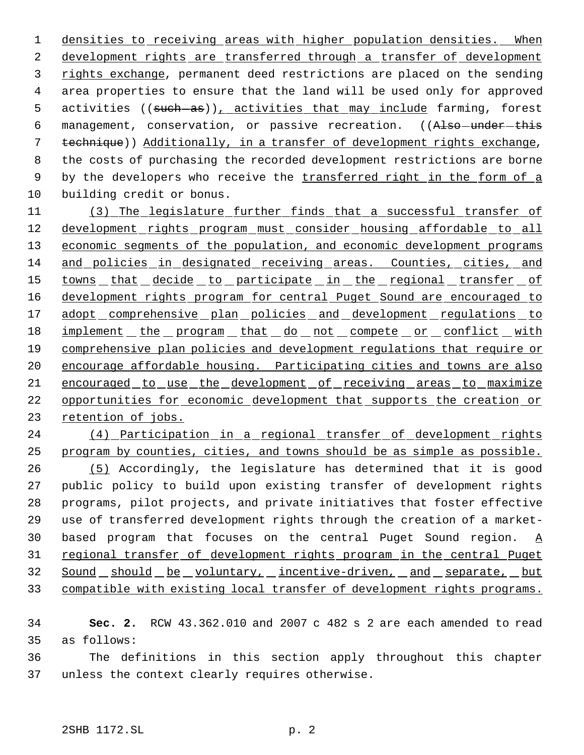1 densities to receiving areas with higher population densities. When development rights are transferred through a transfer of development rights exchange, permanent deed restrictions are placed on the sending area properties to ensure that the land will be used only for approved 5 activities ((such-as)), activities that may include farming, forest 6 management, conservation, or passive recreation. ((Also-under-this technique)) Additionally, in a transfer of development rights exchange, the costs of purchasing the recorded development restrictions are borne 9 by the developers who receive the transferred right in the form of a building credit or bonus.

 (3) The legislature further finds that a successful transfer of 12 development rights program must consider housing affordable to all 13 economic segments of the population, and economic development programs and policies in designated receiving areas. Counties, cities, and 15 towns that decide to participate in the regional transfer of 16 development rights program for central Puget Sound are encouraged to 17 adopt comprehensive plan policies and development regulations to 18 implement the program that do not compete or conflict with comprehensive plan policies and development regulations that require or encourage affordable housing. Participating cities and towns are also encouraged to use the development of receiving areas to maximize opportunities for economic development that supports the creation or retention of jobs.

24 (4) Participation in a regional transfer of development rights program by counties, cities, and towns should be as simple as possible. (5) Accordingly, the legislature has determined that it is good public policy to build upon existing transfer of development rights programs, pilot projects, and private initiatives that foster effective use of transferred development rights through the creation of a market-30 based program that focuses on the central Puget Sound region.  $\underline{A}$ 31 regional transfer of development rights program in the central Puget 32 Sound should be voluntary, incentive-driven, and separate, but compatible with existing local transfer of development rights programs.

 **Sec. 2.** RCW 43.362.010 and 2007 c 482 s 2 are each amended to read as follows:

 The definitions in this section apply throughout this chapter unless the context clearly requires otherwise.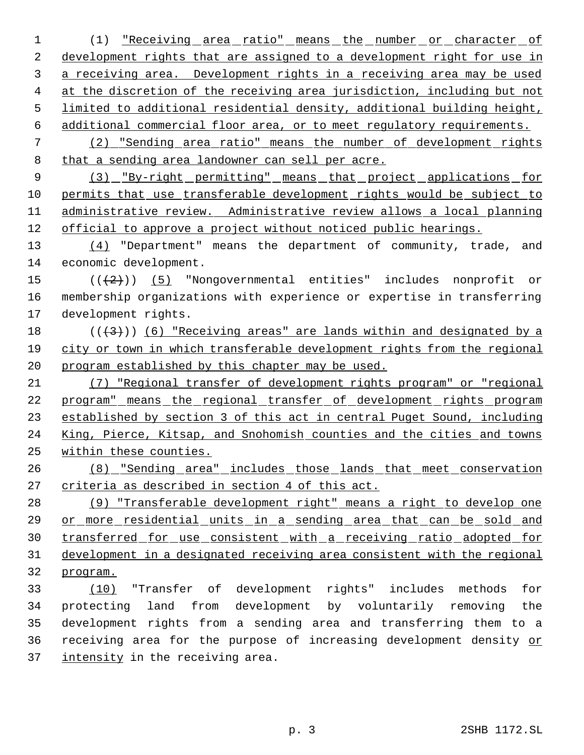1 (1) <u>"Receiving area ratio" means the number or character of</u> 2 development rights that are assigned to a development right for use in 3 a receiving area. Development rights in a receiving area may be used at the discretion of the receiving area jurisdiction, including but not limited to additional residential density, additional building height, additional commercial floor area, or to meet regulatory requirements. (2) "Sending area ratio" means the number of development rights that a sending area landowner can sell per acre. 9 (3) "By-right permitting" means that project applications for permits that use transferable development rights would be subject to administrative review. Administrative review allows a local planning official to approve a project without noticed public hearings. 13 (4) "Department" means the department of community, trade, and economic development.  $((+2)^i)$  (5) "Nongovernmental entities" includes nonprofit or membership organizations with experience or expertise in transferring development rights.  $((+3))$  (6) "Receiving areas" are lands within and designated by a city or town in which transferable development rights from the regional program established by this chapter may be used. (7) "Regional transfer of development rights program" or "regional program" means the regional transfer of development rights program established by section 3 of this act in central Puget Sound, including King, Pierce, Kitsap, and Snohomish counties and the cities and towns within these counties.

 (8) "Sending area" includes those lands that meet conservation criteria as described in section 4 of this act.

28 (9) "Transferable development right" means a right to develop one or more residential units in a sending area that can be sold and transferred for use consistent with a receiving ratio adopted for development in a designated receiving area consistent with the regional program.

 (10) "Transfer of development rights" includes methods for protecting land from development by voluntarily removing the development rights from a sending area and transferring them to a receiving area for the purpose of increasing development density or 37 intensity in the receiving area.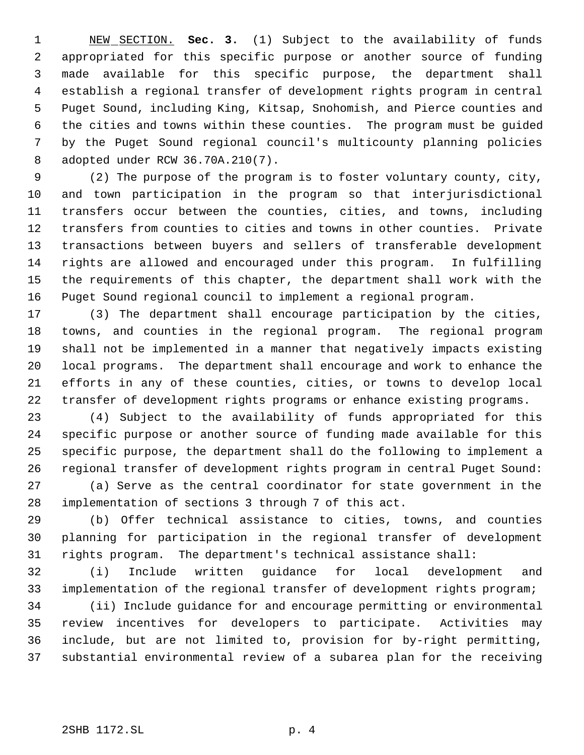NEW SECTION. **Sec. 3.** (1) Subject to the availability of funds appropriated for this specific purpose or another source of funding made available for this specific purpose, the department shall establish a regional transfer of development rights program in central Puget Sound, including King, Kitsap, Snohomish, and Pierce counties and the cities and towns within these counties. The program must be guided by the Puget Sound regional council's multicounty planning policies adopted under RCW 36.70A.210(7).

 (2) The purpose of the program is to foster voluntary county, city, and town participation in the program so that interjurisdictional transfers occur between the counties, cities, and towns, including transfers from counties to cities and towns in other counties. Private transactions between buyers and sellers of transferable development rights are allowed and encouraged under this program. In fulfilling the requirements of this chapter, the department shall work with the Puget Sound regional council to implement a regional program.

 (3) The department shall encourage participation by the cities, towns, and counties in the regional program. The regional program shall not be implemented in a manner that negatively impacts existing local programs. The department shall encourage and work to enhance the efforts in any of these counties, cities, or towns to develop local transfer of development rights programs or enhance existing programs.

 (4) Subject to the availability of funds appropriated for this specific purpose or another source of funding made available for this specific purpose, the department shall do the following to implement a regional transfer of development rights program in central Puget Sound: (a) Serve as the central coordinator for state government in the

implementation of sections 3 through 7 of this act.

 (b) Offer technical assistance to cities, towns, and counties planning for participation in the regional transfer of development rights program. The department's technical assistance shall:

 (i) Include written guidance for local development and implementation of the regional transfer of development rights program;

 (ii) Include guidance for and encourage permitting or environmental review incentives for developers to participate. Activities may include, but are not limited to, provision for by-right permitting, substantial environmental review of a subarea plan for the receiving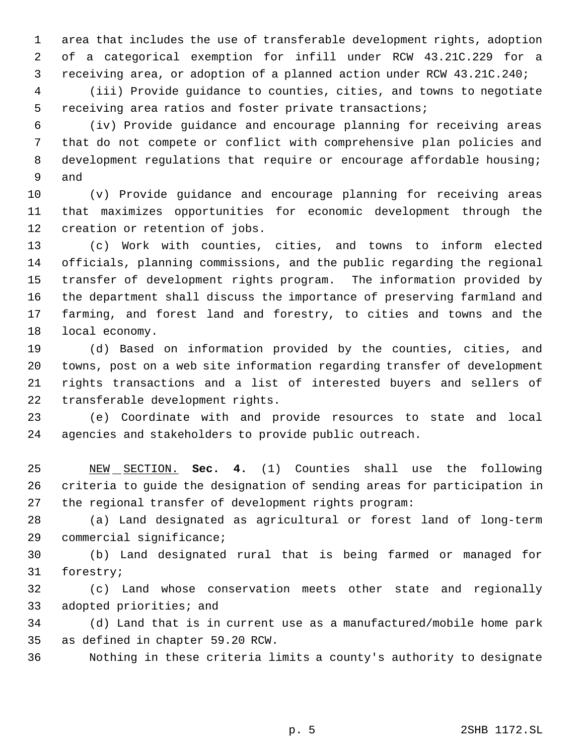area that includes the use of transferable development rights, adoption of a categorical exemption for infill under RCW 43.21C.229 for a receiving area, or adoption of a planned action under RCW 43.21C.240;

 (iii) Provide guidance to counties, cities, and towns to negotiate receiving area ratios and foster private transactions;

 (iv) Provide guidance and encourage planning for receiving areas that do not compete or conflict with comprehensive plan policies and development regulations that require or encourage affordable housing; and

 (v) Provide guidance and encourage planning for receiving areas that maximizes opportunities for economic development through the creation or retention of jobs.

 (c) Work with counties, cities, and towns to inform elected officials, planning commissions, and the public regarding the regional transfer of development rights program. The information provided by the department shall discuss the importance of preserving farmland and farming, and forest land and forestry, to cities and towns and the local economy.

 (d) Based on information provided by the counties, cities, and towns, post on a web site information regarding transfer of development rights transactions and a list of interested buyers and sellers of transferable development rights.

 (e) Coordinate with and provide resources to state and local agencies and stakeholders to provide public outreach.

 NEW SECTION. **Sec. 4.** (1) Counties shall use the following criteria to guide the designation of sending areas for participation in the regional transfer of development rights program:

 (a) Land designated as agricultural or forest land of long-term commercial significance;

 (b) Land designated rural that is being farmed or managed for forestry;

 (c) Land whose conservation meets other state and regionally adopted priorities; and

 (d) Land that is in current use as a manufactured/mobile home park as defined in chapter 59.20 RCW.

Nothing in these criteria limits a county's authority to designate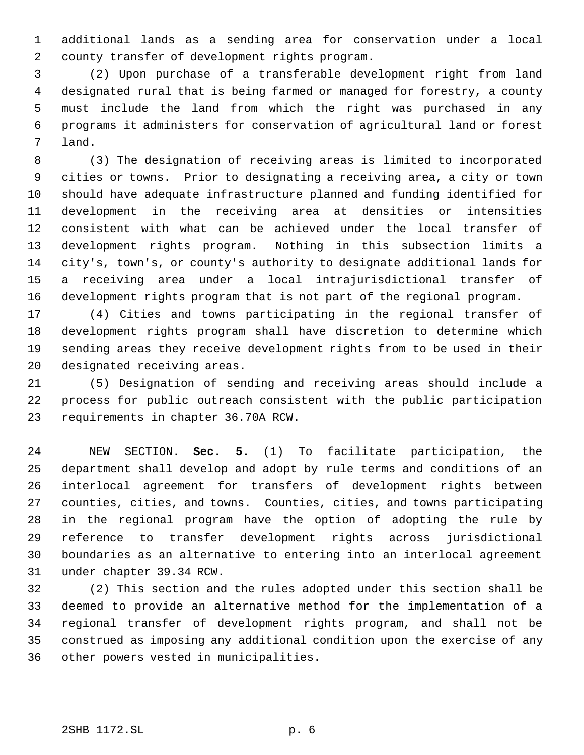additional lands as a sending area for conservation under a local county transfer of development rights program.

 (2) Upon purchase of a transferable development right from land designated rural that is being farmed or managed for forestry, a county must include the land from which the right was purchased in any programs it administers for conservation of agricultural land or forest land.

 (3) The designation of receiving areas is limited to incorporated cities or towns. Prior to designating a receiving area, a city or town should have adequate infrastructure planned and funding identified for development in the receiving area at densities or intensities consistent with what can be achieved under the local transfer of development rights program. Nothing in this subsection limits a city's, town's, or county's authority to designate additional lands for a receiving area under a local intrajurisdictional transfer of development rights program that is not part of the regional program.

 (4) Cities and towns participating in the regional transfer of development rights program shall have discretion to determine which sending areas they receive development rights from to be used in their designated receiving areas.

 (5) Designation of sending and receiving areas should include a process for public outreach consistent with the public participation requirements in chapter 36.70A RCW.

 NEW SECTION. **Sec. 5.** (1) To facilitate participation, the department shall develop and adopt by rule terms and conditions of an interlocal agreement for transfers of development rights between counties, cities, and towns. Counties, cities, and towns participating in the regional program have the option of adopting the rule by reference to transfer development rights across jurisdictional boundaries as an alternative to entering into an interlocal agreement under chapter 39.34 RCW.

 (2) This section and the rules adopted under this section shall be deemed to provide an alternative method for the implementation of a regional transfer of development rights program, and shall not be construed as imposing any additional condition upon the exercise of any other powers vested in municipalities.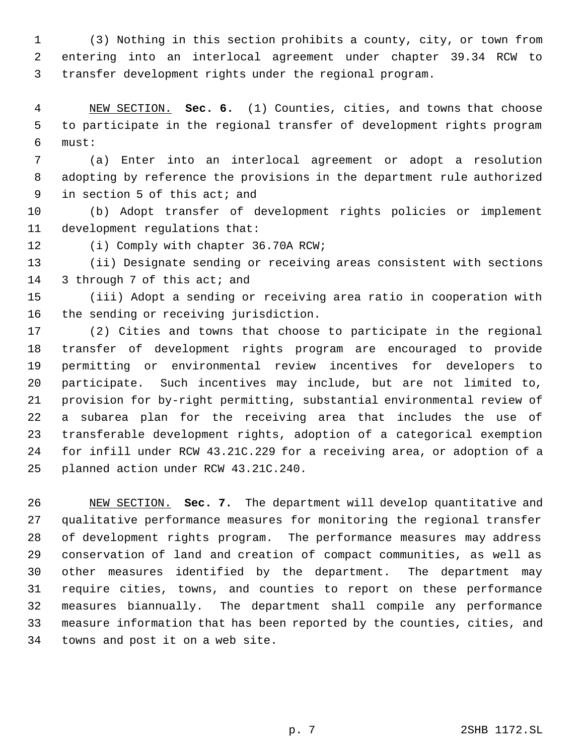(3) Nothing in this section prohibits a county, city, or town from entering into an interlocal agreement under chapter 39.34 RCW to transfer development rights under the regional program.

 NEW SECTION. **Sec. 6.** (1) Counties, cities, and towns that choose to participate in the regional transfer of development rights program must:

 (a) Enter into an interlocal agreement or adopt a resolution adopting by reference the provisions in the department rule authorized in section 5 of this act; and

 (b) Adopt transfer of development rights policies or implement development regulations that:

12 (i) Comply with chapter 36.70A RCW;

 (ii) Designate sending or receiving areas consistent with sections 14 3 through 7 of this act; and

 (iii) Adopt a sending or receiving area ratio in cooperation with the sending or receiving jurisdiction.

 (2) Cities and towns that choose to participate in the regional transfer of development rights program are encouraged to provide permitting or environmental review incentives for developers to participate. Such incentives may include, but are not limited to, provision for by-right permitting, substantial environmental review of a subarea plan for the receiving area that includes the use of transferable development rights, adoption of a categorical exemption for infill under RCW 43.21C.229 for a receiving area, or adoption of a planned action under RCW 43.21C.240.

 NEW SECTION. **Sec. 7.** The department will develop quantitative and qualitative performance measures for monitoring the regional transfer of development rights program. The performance measures may address conservation of land and creation of compact communities, as well as other measures identified by the department. The department may require cities, towns, and counties to report on these performance measures biannually. The department shall compile any performance measure information that has been reported by the counties, cities, and towns and post it on a web site.